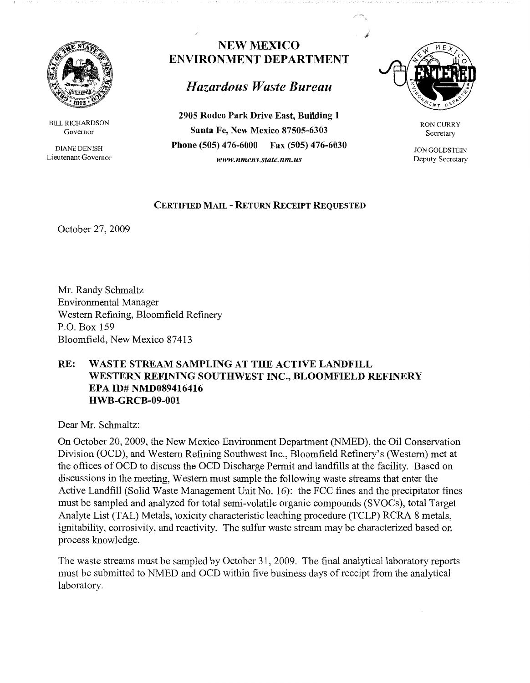

BILL RICHARDSON Governor

DIANE DENISH Lieutenant Governor

## **NEW MEXICO ENVIRONMENT DEPARTMENT**

## *Hazardous Waste Bureau*

**2905 Rodeo Park Drive East, Building 1 Santa Fe, New Mexico 87505-6303 Phone (505) 476-6000 Fax (505) 476-6030**  *www.nmenv.state.nm.us* 



RON CURRY Secretary

JON GOLDSTEIN Deputy Secretary

## **CERTIFIED MAIL** - **RETURN RECEIPT REQUESTED**

October 27, 2009

Mr. Randy Schmaltz Environmental Manager Western Refining, Bloomfield Refinery P.O. Box 159 Bloomfield, New Mexico 87413

## **RE: WASTE STREAM SAMPLING AT THE ACTIVE LANDFILL WESTERN REFINING SOUTHWEST INC., BLOOMFIELD REFINERY EPA ID# NMD089416416 HWB-GRCB-09-001**

Dear Mr. Schmaltz:

On October 20, 2009, the New Mexico Environment Department (NMED), the Oil Conservation Division (OCD), and Western Refining Southwest Inc., Bloomfield Refinery's (Western) met at the offices of OCD to discuss the OCD Discharge Permit and landfills at the facility. Based on discussions in the meeting, Western must sample the following waste streams that enter the Active Landfill (Solid Waste Management Unit No. 16): the FCC fines and the precipitator fines must be sampled and analyzed for total semi-volatile organic compounds (SVOCs), total Target Analyte List (TAL) Metals, toxicity characteristic leaching procedure (TCLP) RCRA 8 metals, ignitability, corrosivity, and reactivity. The sulfur waste stream may be characterized based on process knowledge.

The waste streams must be sampled by October 31, 2009. The final analytical laboratory reports must be submitted to NMED and OCD within five business days of receipt from the analytical laboratory.